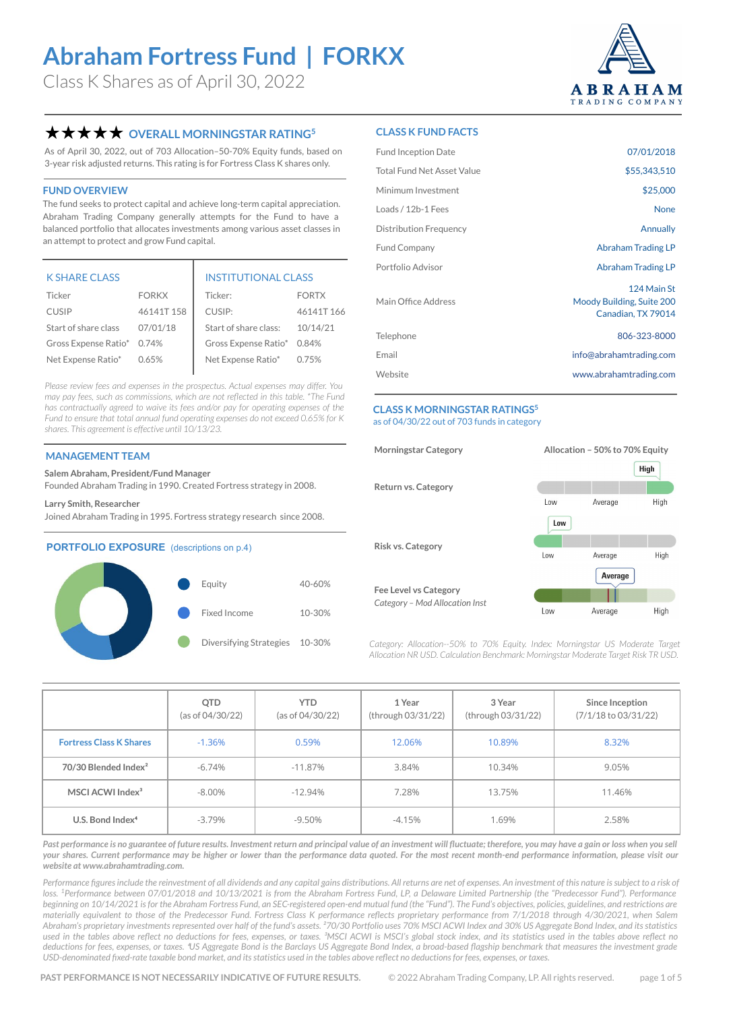Class K Shares as of April 30, 2022



### **★★★★★** OVERALL MORNINGSTAR RATING<sup>5</sup>

As of April 30, 2022, out of 703 Allocation–50-70% Equity funds, based on 3-year risk adjusted returns. This rating is for Fortress Class K shares only.

#### **FUND OVERVIEW**

The fund seeks to protect capital and achieve long-term capital appreciation. Abraham Trading Company generally attempts for the Fund to have a balanced portfolio that allocates investments among various asset classes in an attempt to protect and grow Fund capital.

| <b>K SHARE CLASS</b>       |              | <b>INSTITUTIONAL CLASS</b> |              |  |  |
|----------------------------|--------------|----------------------------|--------------|--|--|
| Ticker                     | <b>FORKX</b> | Ticker:                    | <b>FORTX</b> |  |  |
| <b>CUSIP</b>               | 46141T158    | CUSIP:                     | 46141T166    |  |  |
| Start of share class       | 07/01/18     | Start of share class:      | 10/14/21     |  |  |
| Gross Expense Ratio* 0.74% |              | Gross Expense Ratio* 0.84% |              |  |  |
| Net Expense Ratio*         | 0.65%        | Net Expense Ratio*         | 0.75%        |  |  |

*Please review fees and expenses in the [prospectus](https://funddocs.filepoint.com/abraham/). Actual expenses may differ. You may pay fees, such as commissions, which are not reflected in this table. \*The Fund has contractually agreed to waive its fees and/or pay for operating expenses of the Fund to ensure that total annual fund operating expenses do not exceed 0.65% for K shares. This agreement is effective until 10/13/23.*

#### **MANAGEMENT TEAM**

**Salem Abraham, President/Fund Manager**

Founded Abraham Trading in 1990. Created Fortress strategy in 2008.

#### **Larry Smith, Researcher**

Joined Abraham Trading in 1995. Fortress strategy research since 2008.

#### **PORTFOLIO EXPOSURE** (descriptions on p.4)



#### **CLASS K FUND FACTS**

| <b>Fund Inception Date</b>        | 07/01/2018                                                     |
|-----------------------------------|----------------------------------------------------------------|
| <b>Total Fund Net Asset Value</b> | \$55,343,510                                                   |
| Minimum Investment                | \$25,000                                                       |
| Loads / 12b-1 Fees                | None                                                           |
| Distribution Frequency            | Annually                                                       |
| <b>Fund Company</b>               | Abraham Trading LP                                             |
| Portfolio Advisor                 | Abraham Trading LP                                             |
| Main Office Address               | 124 Main St<br>Moody Building, Suite 200<br>Canadian, TX 79014 |
| Telephone                         | 806-323-8000                                                   |
| Email                             | info@abrahamtrading.com                                        |
| Website                           | www.abrahamtrading.com                                         |
|                                   |                                                                |

#### **CLASS K MORNINGSTAR RATINGS5** as of 04/30/22 out of 703 funds in category



Category: Allocation--50% to 70% Equity. Index: Morningstar US Moderate Target *Allocation NR USD. Calculation Benchmark: Morningstar Moderate Target Risk TR USD.* 

|                                  | QTD<br>(as of 04/30/22) | <b>YTD</b><br>(as of 04/30/22) | 1 Year<br>(through 03/31/22) | 3 Year<br>(through 03/31/22) | Since Inception<br>(7/1/18 to 03/31/22) |
|----------------------------------|-------------------------|--------------------------------|------------------------------|------------------------------|-----------------------------------------|
| <b>Fortress Class K Shares</b>   | $-1.36%$                | 0.59%                          | 12.06%                       | 10.89%                       | 8.32%                                   |
| 70/30 Blended Index <sup>2</sup> | $-6.74%$                | $-11.87%$                      | 3.84%                        | 10.34%                       | 9.05%                                   |
| MSCI ACWI Index <sup>3</sup>     | $-8.00\%$               | $-12.94%$                      | 7.28%                        | 13.75%                       | 11.46%                                  |
| U.S. Bond Index <sup>4</sup>     | $-3.79\%$               | -9.50%                         | $-4.15%$                     | 1.69%                        | 2.58%                                   |

Past performance is no guarantee of future results. Investment return and principal value of an investment will fluctuate; therefore, you may have a gain or loss when you sell *your shares. Current performance may be higher or lower than the performance data quoted. For the most recent month-end performance information, please visit our website at [www.abrahamtrading.com.](http://www.abrahamtrading.com)* 

Performance figures include the reinvestment of all dividends and any capital gains distributions. All returns are net of expenses. An investment of this nature is subject to a risk of loss. <sup>1</sup>Performance between 07/01/2018 and 10/13/2021 is from the Abraham Fortress Fund, LP, a Delaware Limited Partnership (the "Predecessor Fund"). Performance *beginning on 10/14/2021 is for the Abraham Fortress Fund, an SEC-registered open-end mutual fund (the "Fund"). The Fund's objectives, policies, guidelines, and restrictions are materially equivalent to those of the Predecessor Fund. Fortress Class K performance reflects proprietary performance from 7/1/2018 through 4/30/2021, when Salem Abraham's proprietary investments represented over half of the fund's assets. ²70/30 Portfolio uses 70% MSCI ACWI Index and 30% US Aggregate Bond Index, and its statistics*  used in the tables above reflect no deductions for fees, expenses, or taxes. <sup>3</sup>MSCI ACWI is MSCI's global stock index, and its statistics used in the tables above reflect no deductions for fees, expenses, or taxes. <sup>4</sup>US Aggregate Bond is the Barclays US Aggregate Bond Index, a broad-based flagship benchmark that measures the investment grade *USD-denominated fixed-rate taxable bond market, and its statistics used in the tables above reflect no deductions for fees, expenses, or taxes.*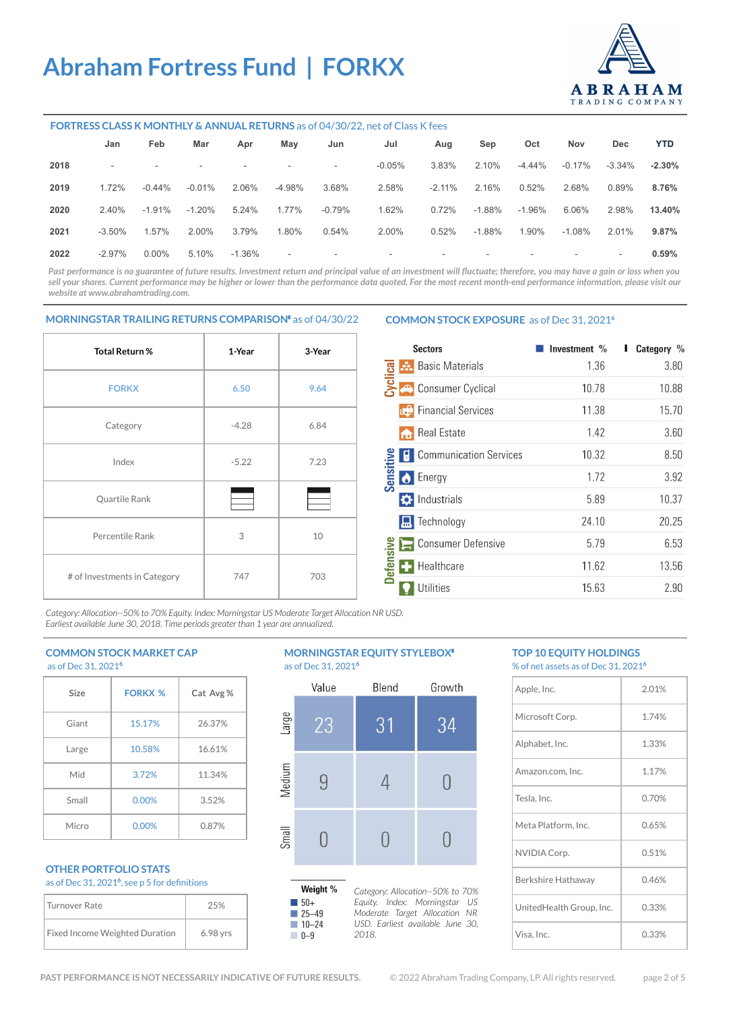

#### **FORTRESS CLASS K MONTHLY & ANNUAL RETURNS** as of 04/30/22, net of Class K fees

|      | Jan                      | Feb      | Mar       | Apr                      | May                      | Jun                      | Jul                      | Aug      | Sep      | Oct                      | Nov       | Dec.                     | <b>YTD</b> |
|------|--------------------------|----------|-----------|--------------------------|--------------------------|--------------------------|--------------------------|----------|----------|--------------------------|-----------|--------------------------|------------|
| 2018 | $\overline{\phantom{a}}$ | ۰.       | -         | $\overline{\phantom{a}}$ | $\sim$                   | $\overline{\phantom{a}}$ | $-0.05%$                 | 3.83%    | 2.10%    | $-4.44\%$                | $-0.17\%$ | -3.34%                   | $-2.30%$   |
| 2019 | 1.72%                    | $-0.44%$ | $-0.01%$  | 2.06%                    | -4.98%                   | 3.68%                    | 2.58%                    | $-2.11%$ | 2.16%    | 0.52%                    | 2.68%     | 0.89%                    | 8.76%      |
| 2020 | 2.40%                    | $-1.91%$ | $-1.20\%$ | 5.24%                    | 1.77%                    | $-0.79\%$                | 1.62%                    | 0.72%    | $-1.88%$ | $-1.96\%$                | 6.06%     | 2.98%                    | 13.40%     |
| 2021 | $-3.50\%$                | 1.57%    | 2.00%     | 3.79%                    | 1.80%                    | 0.54%                    | 2.00%                    | 0.52%    | $-1.88%$ | 1.90%                    | $-1.08\%$ | 2.01%                    | 9.87%      |
| 2022 | $-2.97\%$                | $0.00\%$ | 5.10%     | $-1.36\%$                | $\overline{\phantom{a}}$ | $\sim$                   | $\overline{\phantom{a}}$ | ۰        | ۰.       | $\overline{\phantom{a}}$ | $\sim$    | $\overline{\phantom{a}}$ | 0.59%      |

Past performance is no guarantee of future results. Investment return and principal value of an investment will fluctuate; therefore, you may have a gain or loss when you sell your shares. Current performance may be higher or lower than the performance data quoted. For the most recent month-end performance information, please visit our *website at [www.abrahamtrading.com](http://www.abrahamtrading.com).* 

#### **MORNINGSTAR TRAILING RETURNS COMPARISON**⁵ as of 04/30/22

# **Total Return % 1-Year 3-Year FORKX 6.50 9.64** Category 1 -4.28 6.84  $Index$   $-5.22$   $7.23$ Quartile Rank Percentile Rank  $\begin{array}{ccc} 3 & 10 \\ 3 & 10 \end{array}$ # of Investments in Category | 747 | 703

#### **COMMON STOCK EXPOSURE** as of Dec 31, 2021**<sup>6</sup>**

|                 | <b>Sectors</b>                     | Investment % | Category % |
|-----------------|------------------------------------|--------------|------------|
| vclica          | <b>Basic Materials</b><br>Æ.       | 1.36         | 3.80       |
|                 | <b>Consumer Cyclical</b>           | 10.78        | 10.88      |
|                 | <b>Financial Services</b>          | 11.38        | 15.70      |
|                 | <b>Real Estate</b><br>m            | 1.42         | 3.60       |
|                 | <b>Communication Services</b><br>Н | 10.32        | 8.50       |
| Sensitiv        | <b>O</b> Energy                    | 1.72         | 3.92       |
|                 | $\bullet$ Industrials              | 5.89         | 10.37      |
|                 | <b>R</b> Technology                | 24.10        | 20.25      |
|                 | <b>Consumer Defensive</b><br>一     | 5.79         | 6.53       |
| <b>Defensiv</b> | Healthcare<br>÷                    | 11.62        | 13.56      |
|                 | Utilities                          | 15.63        | 2.90       |

*Category: Allocation--50% to 70% Equity. Index: Morningstar US Moderate Target Allocation NR USD. Earliest available June 30, 2018. Time periods greater than 1 year are annualized.* 

#### **COMMON STOCK MARKET CAP** as of Dec 31, 2021**<sup>6</sup>**

| 430122212122 |                |           |  |  |  |  |
|--------------|----------------|-----------|--|--|--|--|
| Size         | <b>FORKX %</b> | Cat Avg % |  |  |  |  |
| Giant        | 15.17%         | 26.37%    |  |  |  |  |
| Large        | 10.58%         | 16.61%    |  |  |  |  |
| Mid          | 3.72%          | 11.34%    |  |  |  |  |
| Small        | 0.00%          | 3.52%     |  |  |  |  |
| Micro        | 0.00%          | 0.87%     |  |  |  |  |

#### **OTHER PORTFOLIO STATS** as of Dec 31, 2021**<sup>6</sup>** , see p 5 for definitions

| Turnover Rate                         | 25%      |
|---------------------------------------|----------|
| <b>Fixed Income Weighted Duration</b> | 6.98 yrs |

#### **MORNINGSTAR EQUITY STYLEBOX<sup>®</sup>** as of Dec 31, 2021**<sup>6</sup>**



#### **TOP 10 EQUITY HOLDINGS**  % of net assets as of Dec 31, 2021**<sup>6</sup>**

| Apple, Inc.              | 2.01% |
|--------------------------|-------|
| Microsoft Corp.          | 1.74% |
| Alphabet, Inc.           | 1.33% |
| Amazon.com, Inc.         | 1.17% |
| Tesla, Inc.              | 0.70% |
| Meta Platform, Inc.      | 0.65% |
| NVIDIA Corp.             | 0.51% |
| Berkshire Hathaway       | 0.46% |
| UnitedHealth Group, Inc. | 0.33% |
| Visa, Inc.               | 0.33% |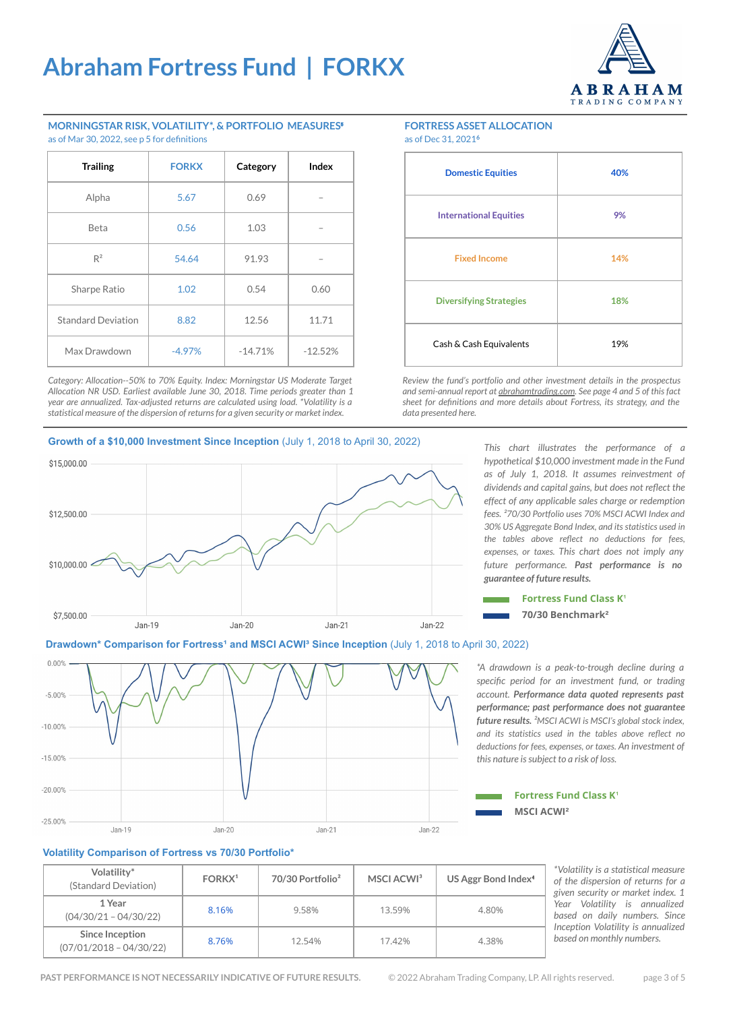

#### **MORNINGSTAR RISK, VOLATILITY\*, & PORTFOLIO MEASURES**⁵ as of Mar 30, 2022, see p 5 for definitions

| <b>Trailing</b>           | <b>FORKX</b> | Category  | Index     |
|---------------------------|--------------|-----------|-----------|
| Alpha                     | 5.67         | 0.69      |           |
| <b>Beta</b>               | 0.56         | 1.03      |           |
| $R^2$                     | 54.64        | 91.93     |           |
| Sharpe Ratio              | 1.02         | 0.54      | 0.60      |
| <b>Standard Deviation</b> | 8.82         | 12.56     | 11.71     |
| Max Drawdown              | $-4.97%$     | $-14.71%$ | $-12.52%$ |

*Category: Allocation--50% to 70% Equity. Index: Morningstar US Moderate Target Allocation NR USD. Earliest available June 30, 2018. Time periods greater than 1 year are annualized. Tax-adjusted returns are calculated using load. \*Volatility is a statistical measure of the dispersion of returns for a given security or market index.*

### **FORTRESS ASSET ALLOCATION**

as of Dec 31, 2021**<sup>6</sup>**

| <b>Domestic Equities</b>       | 40% |
|--------------------------------|-----|
| <b>International Equities</b>  | 9%  |
| <b>Fixed Income</b>            | 14% |
| <b>Diversifying Strategies</b> | 18% |
| Cash & Cash Equivalents        | 19% |

*Review the fund's portfolio and other investment details in the prospectus and semi-annual report at [abrahamtrading.com.](http://www.abrahamtrading.com) See page 4 and 5 of this fact sheet for definitions and more details about Fortress, its strategy, and the data presented here.*

#### **Growth of a \$10,000 Investment Since Inception** (July 1, 2018 to April 30, 2022)



*This chart illustrates the performance of a hypothetical \$10,000 investment made in the Fund as of July 1, 2018. It assumes reinvestment of dividends and capital gains, but does not reflect the effect of any applicable sales charge or redemption fees. ²70/30 Portfolio uses 70% MSCI ACWI Index and 30% US Aggregate Bond Index, and its statistics used in the tables above reflect no deductions for fees, expenses, or taxes. This chart does not imply any future performance. Past performance is no guarantee of future results.*



### **Drawdown\* Comparison for Fortress<sup>1</sup> and MSCI ACWI<sup>3</sup> Since Inception (July 1, 2018 to April 30, 2022)**



*\*A drawdown is a peak-to-trough decline during a specific period for an investment fund, or trading account. Performance data quoted represents past performance; past performance does not guarantee future results. ²MSCI ACWI is MSCI's global stock index, and its statistics used in the tables above reflect no deductions for fees, expenses, or taxes. An investment of this nature is subject to a risk of loss.* 

### **MSCI ACWI**² **Fortress Fund Class K<sup>®</sup>**

#### **Volatility Comparison of Fortress vs 70/30 Portfolio\***

| Volatility*<br>(Standard Deviation)          | FORKX <sup>1</sup> | 70/30 Portfolio <sup>2</sup> | MSCI ACWI <sup>3</sup> | US Aggr Bond Index <sup>4</sup> |
|----------------------------------------------|--------------------|------------------------------|------------------------|---------------------------------|
| 1 Year<br>$(04/30/21 - 04/30/22)$            | 8.16%              | 9.58%                        | 13.59%                 | 4.80%                           |
| Since Inception<br>$(07/01/2018 - 04/30/22)$ | 8.76%              | 12.54%                       | 17.42%                 | 4.38%                           |

*\*Volatility is a statistical measure of the dispersion of returns for a given security or market index. 1 Year Volatility is annualized based on daily numbers. Since Inception Volatility is annualized based on monthly numbers.*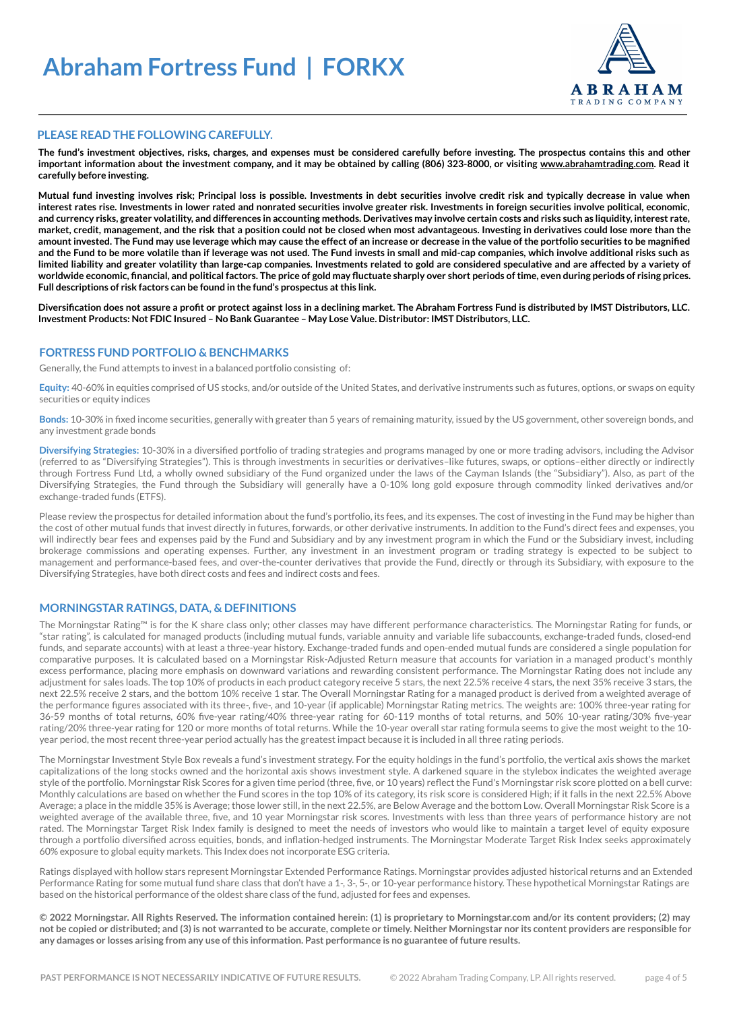

#### **PLEASE READ THE FOLLOWING CAREFULLY.**

**The fund's investment objectives, risks, charges, and expenses must be considered carefully before investing. The prospectus contains this and other important information about the investment company, and it may be obtained by calling (806) 323-8000, or visiting [www.abrahamtrading.com](http://www.abrahamtrading.com). Read it carefully before investing.** 

**Mutual fund investing involves risk; Principal loss is possible. Investments in debt securities involve credit risk and typically decrease in value when interest rates rise. Investments in lower rated and nonrated securities involve greater risk. Investments in foreign securities involve political, economic, and currency risks, greater volatility, and differences in accounting methods. Derivatives may involve certain costs and risks such as liquidity, interest rate, market, credit, management, and the risk that a position could not be closed when most advantageous. Investing in derivatives could lose more than the amount invested. The Fund may use leverage which may cause the effect of an increase or decrease in the value of the portfolio securities to be magnified and the Fund to be more volatile than if leverage was not used. The Fund invests in small and mid-cap companies, which involve additional risks such as limited liability and greater volatility than large-cap companies. Investments related to gold are considered speculative and are affected by a variety of worldwide economic, financial, and political factors. The price of gold may fluctuate sharply over short periods of time, even during periods of rising prices. Full descriptions of risk factors can be found in the fund's prospectus at this link.**

**Diversification does not assure a profit or protect against loss in a declining market. The Abraham Fortress Fund is distributed by IMST Distributors, LLC. Investment Products: Not FDIC Insured – No Bank Guarantee – May Lose Value. Distributor: IMST Distributors, LLC.** 

#### **FORTRESS FUND PORTFOLIO & BENCHMARKS**

Generally, the Fund attempts to invest in a balanced portfolio consisting of:

**Equity:** 40-60% in equities comprised of US stocks, and/or outside of the United States, and derivative instruments such as futures, options, or swaps on equity securities or equity indices

**Bonds:** 10-30% in fixed income securities, generally with greater than 5 years of remaining maturity, issued by the US government, other sovereign bonds, and any investment grade bonds

**Diversifying Strategies:** 10-30% in a diversified portfolio of trading strategies and programs managed by one or more trading advisors, including the Advisor (referred to as "Diversifying Strategies"). This is through investments in securities or derivatives–like futures, swaps, or options–either directly or indirectly through Fortress Fund Ltd, a wholly owned subsidiary of the Fund organized under the laws of the Cayman Islands (the "Subsidiary"). Also, as part of the Diversifying Strategies, the Fund through the Subsidiary will generally have a 0-10% long gold exposure through commodity linked derivatives and/or exchange-traded funds (ETFS).

Please review the prospectus for detailed information about the fund's portfolio, its fees, and its expenses. The cost of investing in the Fund may be higher than the cost of other mutual funds that invest directly in futures, forwards, or other derivative instruments. In addition to the Fund's direct fees and expenses, you will indirectly bear fees and expenses paid by the Fund and Subsidiary and by any investment program in which the Fund or the Subsidiary invest, including brokerage commissions and operating expenses. Further, any investment in an investment program or trading strategy is expected to be subject to management and performance-based fees, and over-the-counter derivatives that provide the Fund, directly or through its Subsidiary, with exposure to the Diversifying Strategies, have both direct costs and fees and indirect costs and fees.

#### **MORNINGSTAR RATINGS, DATA, & DEFINITIONS**

The Morningstar Rating™ is for the K share class only; other classes may have different performance characteristics. The Morningstar Rating for funds, or "star rating", is calculated for managed products (including mutual funds, variable annuity and variable life subaccounts, exchange-traded funds, closed-end funds, and separate accounts) with at least a three-year history. Exchange-traded funds and open-ended mutual funds are considered a single population for comparative purposes. It is calculated based on a Morningstar Risk-Adjusted Return measure that accounts for variation in a managed product's monthly excess performance, placing more emphasis on downward variations and rewarding consistent performance. The Morningstar Rating does not include any adjustment for sales loads. The top 10% of products in each product category receive 5 stars, the next 22.5% receive 4 stars, the next 35% receive 3 stars, the next 22.5% receive 2 stars, and the bottom 10% receive 1 star. The Overall Morningstar Rating for a managed product is derived from a weighted average of the performance figures associated with its three-, five-, and 10-year (if applicable) Morningstar Rating metrics. The weights are: 100% three-year rating for 36-59 months of total returns, 60% five-year rating/40% three-year rating for 60-119 months of total returns, and 50% 10-year rating/30% five-year rating/20% three-year rating for 120 or more months of total returns. While the 10-year overall star rating formula seems to give the most weight to the 10 year period, the most recent three-year period actually has the greatest impact because it is included in all three rating periods.

The Morningstar Investment Style Box reveals a fund's investment strategy. For the equity holdings in the fund's portfolio, the vertical axis shows the market capitalizations of the long stocks owned and the horizontal axis shows investment style. A darkened square in the stylebox indicates the weighted average style of the portfolio. Morningstar Risk Scores for a given time period (three, five, or 10 years) reflect the Fund's Morningstar risk score plotted on a bell curve: Monthly calculations are based on whether the Fund scores in the top 10% of its category, its risk score is considered High; if it falls in the next 22.5% Above Average; a place in the middle 35% is Average; those lower still, in the next 22.5%, are Below Average and the bottom Low. Overall Morningstar Risk Score is a weighted average of the available three, five, and 10 year Morningstar risk scores. Investments with less than three years of performance history are not rated. The Morningstar Target Risk Index family is designed to meet the needs of investors who would like to maintain a target level of equity exposure through a portfolio diversified across equities, bonds, and inflation-hedged instruments. The Morningstar Moderate Target Risk Index seeks approximately 60% exposure to global equity markets. This Index does not incorporate ESG criteria.

Ratings displayed with hollow stars represent Morningstar Extended Performance Ratings. Morningstar provides adjusted historical returns and an Extended Performance Rating for some mutual fund share class that don't have a 1-, 3-, 5-, or 10-year performance history. These hypothetical Morningstar Ratings are based on the historical performance of the oldest share class of the fund, adjusted for fees and expenses.

**© 2022 Morningstar. All Rights Reserved. The information contained herein: (1) is proprietary to Morningstar.com and/or its content providers; (2) may not be copied or distributed; and (3) is not warranted to be accurate, complete or timely. Neither Morningstar nor its content providers are responsible for any damages or losses arising from any use of this information. Past performance is no guarantee of future results.**